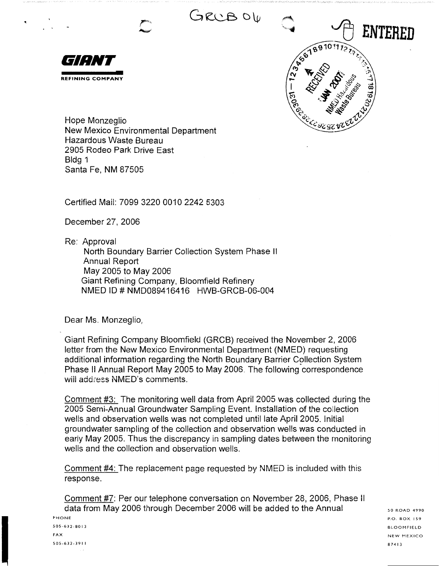



Hope Monzeglio New Mexico Environmental Department Hazardous Waste Bureau 2905 Rodeo Park Drive East Bldg 1 Santa Fe, NM 87505

Certified Mail: 7099 3220 0010 2242 5303

December 27, 2006

Re: Approval

North Boundary Barrier Collection System Phase <sup>11</sup> Annual Report May 2005 to May 2006 Giant Refining Company, Bloomfield Refinery NMED ID# NMD089416416 HWB-GRCB-06-004

Dear Ms. Monzeglio,

Giant Refining Company Bloomfield (GRCB) received the November 2, 2006 letter from the New Mexico Environmental Department (NMED) requesting additional information regarding the North Boundary Barrier Collection System Phase II Annual Report May 2005 to May 2006. The following correspondence wiil address NMED's comments.

Comment #3: The monitoring well data from April 2005 was collected during the 2005 Semi-Annual Groundwater Sampling Event. Installation of the collection wells and observation wells was not completed until late April 2005. Initial groundwater sampling of the collection and observation wells was conducted in early May 2005. Thus the discrepancy in sampling dates between the monitoring wells and the collection and observation wells.

Comment #4: The replacement page requested by NMED is included with this response.

Comment #7: Per our telephone conversation on November 28, 2006, Phase II data from May 2006 through December 2006 will be added to the Annual PHONE

505-632-8013 FAX 505-632-3911 50 ROAD 4990 P.O. BOX I 59 BLOOMFIELD NEW MEXICO 87413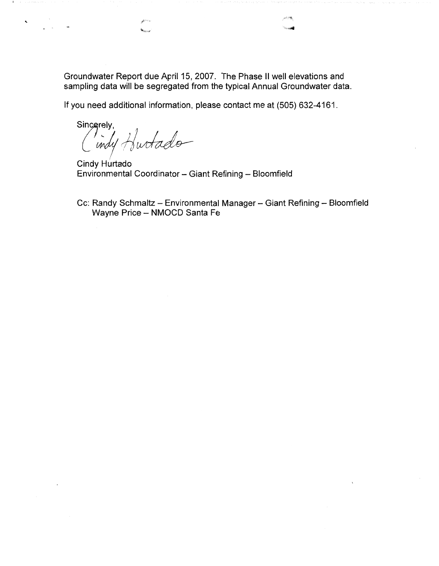Groundwater Report due April 15, 2007. The Phase II well elevations and sampling data will be segregated from the typical Annual Groundwater data.

If you need additional information, please contact me at (505) 632-4161.

Sincerely,<br>(*indy* Hurtado

 $\mathbf{v}$ 

Cindy Hurtado Environmental Coordinator - Giant Refining - Bloomfield

Cc: Randy Schmaltz - Environmental Manager - Giant Refining - Bloomfield Wayne Price - NMOCD Santa Fe